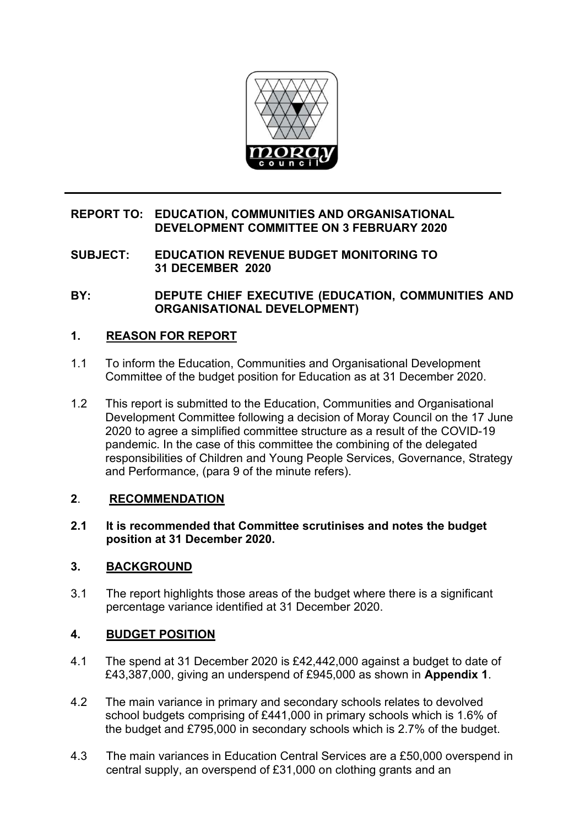

# **REPORT TO: EDUCATION, COMMUNITIES AND ORGANISATIONAL DEVELOPMENT COMMITTEE ON 3 FEBRUARY 2020**

**SUBJECT: EDUCATION REVENUE BUDGET MONITORING TO 31 DECEMBER 2020**

**BY: DEPUTE CHIEF EXECUTIVE (EDUCATION, COMMUNITIES AND ORGANISATIONAL DEVELOPMENT)** 

# **1. REASON FOR REPORT**

- 1.1 To inform the Education, Communities and Organisational Development Committee of the budget position for Education as at 31 December 2020.
- 1.2 This report is submitted to the Education, Communities and Organisational Development Committee following a decision of Moray Council on the 17 June 2020 to agree a simplified committee structure as a result of the COVID-19 pandemic. In the case of this committee the combining of the delegated responsibilities of Children and Young People Services, Governance, Strategy and Performance, (para 9 of the minute refers).

# **2**. **RECOMMENDATION**

**2.1 It is recommended that Committee scrutinises and notes the budget position at 31 December 2020.** 

# **3. BACKGROUND**

3.1 The report highlights those areas of the budget where there is a significant percentage variance identified at 31 December 2020.

# **4. BUDGET POSITION**

- 4.1 The spend at 31 December 2020 is £42,442,000 against a budget to date of £43,387,000, giving an underspend of £945,000 as shown in **Appendix 1**.
- 4.2 The main variance in primary and secondary schools relates to devolved school budgets comprising of £441,000 in primary schools which is 1.6% of the budget and £795,000 in secondary schools which is 2.7% of the budget.
- 4.3 The main variances in Education Central Services are a £50,000 overspend in central supply, an overspend of £31,000 on clothing grants and an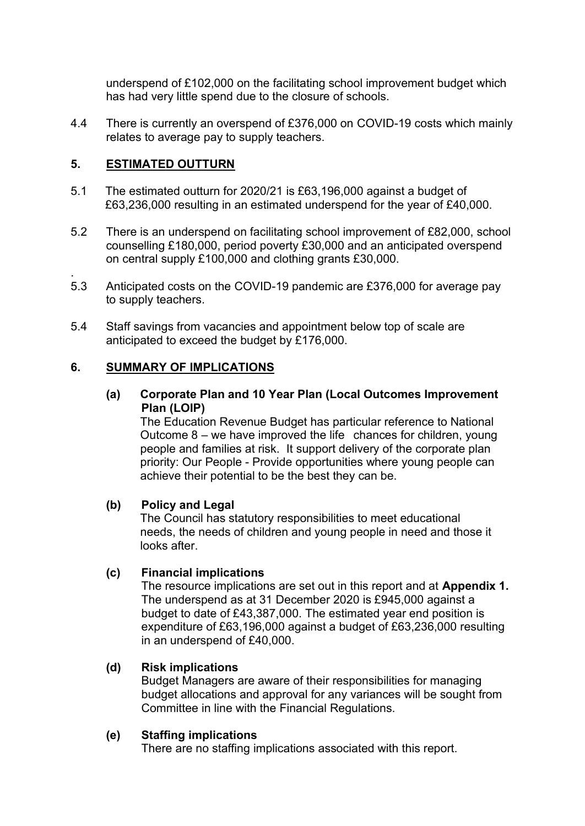underspend of £102,000 on the facilitating school improvement budget which has had very little spend due to the closure of schools.

4.4 There is currently an overspend of £376,000 on COVID-19 costs which mainly relates to average pay to supply teachers.

# **5. ESTIMATED OUTTURN**

- 5.1 The estimated outturn for 2020/21 is £63,196,000 against a budget of £63,236,000 resulting in an estimated underspend for the year of £40,000.
- 5.2 There is an underspend on facilitating school improvement of £82,000, school counselling £180,000, period poverty £30,000 and an anticipated overspend on central supply £100,000 and clothing grants £30,000.
- . 5.3 Anticipated costs on the COVID-19 pandemic are £376,000 for average pay to supply teachers.
- 5.4 Staff savings from vacancies and appointment below top of scale are anticipated to exceed the budget by £176,000.

# **6. SUMMARY OF IMPLICATIONS**

**(a) Corporate Plan and 10 Year Plan (Local Outcomes Improvement Plan (LOIP)** 

 The Education Revenue Budget has particular reference to National Outcome 8 – we have improved the life chances for children, young people and families at risk. It support delivery of the corporate plan priority: Our People - Provide opportunities where young people can achieve their potential to be the best they can be.

# **(b) Policy and Legal**

The Council has statutory responsibilities to meet educational needs, the needs of children and young people in need and those it looks after.

# **(c) Financial implications**

The resource implications are set out in this report and at **Appendix 1.** The underspend as at 31 December 2020 is £945,000 against a budget to date of £43,387,000. The estimated year end position is expenditure of £63,196,000 against a budget of £63,236,000 resulting in an underspend of £40,000.

# **(d) Risk implications**

Budget Managers are aware of their responsibilities for managing budget allocations and approval for any variances will be sought from Committee in line with the Financial Regulations.

#### **(e) Staffing implications**

There are no staffing implications associated with this report.